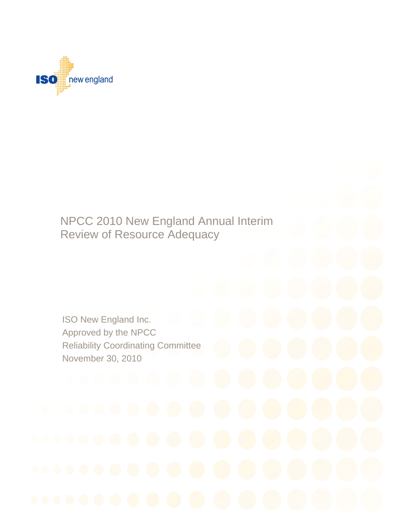

# Review of Resource Adequacy NPCC 2010 New England Annual Interim

ISO New England Inc. ISO New England Inc. Approved by the NPCC Reliability Coordinating Committee November 30, 2010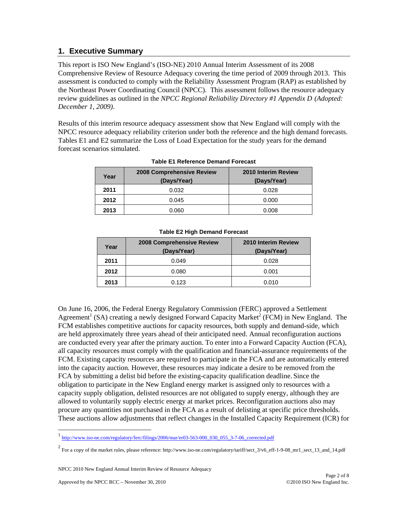# **1. Executive Summary**

This report is ISO New England's (ISO-NE) 2010 Annual Interim Assessment of its 2008 Comprehensive Review of Resource Adequacy covering the time period of 2009 through 2013. This assessment is conducted to comply with the Reliability Assessment Program (RAP) as established by the Northeast Power Coordinating Council (NPCC). This assessment follows the resource adequacy review guidelines as outlined in the *NPCC Regional Reliability Directory #1 Appendix D (Adopted: December 1, 2009)*.

Results of this interim resource adequacy assessment show that New England will comply with the NPCC resource adequacy reliability criterion under both the reference and the high demand forecasts. Tables E1 and E2 summarize the Loss of Load Expectation for the study years for the demand forecast scenarios simulated.

| Year | <b>2008 Comprehensive Review</b><br>(Days/Year) | 2010 Interim Review<br>(Days/Year) |
|------|-------------------------------------------------|------------------------------------|
| 2011 | 0.032                                           | 0.028                              |
| 2012 | 0.045                                           | 0.000                              |
| 2013 | 0.060                                           | 0.008                              |

#### **Table E1 Reference Demand Forecast**

| Year | <b>2008 Comprehensive Review</b><br>(Days/Year) | 2010 Interim Review<br>(Days/Year) |
|------|-------------------------------------------------|------------------------------------|
| 2011 | 0.049                                           | 0.028                              |
| 2012 | 0.080                                           | 0.001                              |
| 2013 | 0.123                                           | 0.010                              |

#### **Table E2 High Demand Forecast**

On June 16, 2006, the Federal Energy Regulatory Commission (FERC) approved a Settlement Agreement<sup>1</sup> (SA) creating a newly designed Forward Capacity Market<sup>2</sup> (FCM) in New England. The FCM establishes competitive auctions for capacity resources, both supply and demand-side, which are held approximately three years ahead of their anticipated need. Annual reconfiguration auctions are conducted every year after the primary auction. To enter into a Forward Capacity Auction (FCA), all capacity resources must comply with the qualification and financial-assurance requirements of the FCM. Existing capacity resources are required to participate in the FCA and are automatically entered into the capacity auction. However, these resources may indicate a desire to be removed from the FCA by submitting a delist bid before the existing-capacity qualification deadline. Since the obligation to participate in the New England energy market is assigned only to resources with a capacity supply obligation, delisted resources are not obligated to supply energy, although they are allowed to voluntarily supply electric energy at market prices. Reconfiguration auctions also may procure any quantities not purchased in the FCA as a result of delisting at specific price thresholds. These auctions allow adjustments that reflect changes in the Installed Capacity Requirement (ICR) for

l

<sup>1</sup> http://www.iso-ne.com/regulatory/ferc/filings/2006/mar/er03-563-000\_030\_055\_3-7-06\_corrected.pdf

 $^2$  For a copy of the market rules, please reference: http://www.iso-ne.com/regulatory/tariff/sect\_3/v6\_eff-1-9-08\_mr1\_sect\_13\_and\_14.pdf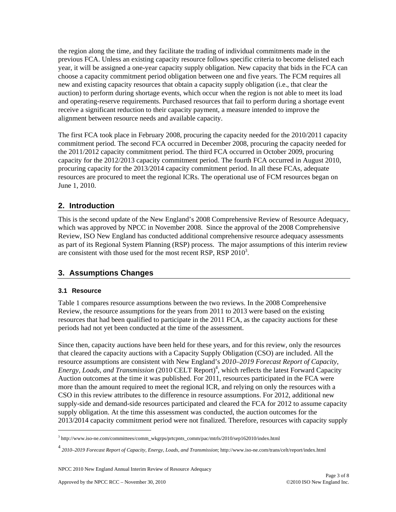the region along the time, and they facilitate the trading of individual commitments made in the previous FCA. Unless an existing capacity resource follows specific criteria to become delisted each year, it will be assigned a one-year capacity supply obligation. New capacity that bids in the FCA can choose a capacity commitment period obligation between one and five years. The FCM requires all new and existing capacity resources that obtain a capacity supply obligation (i.e., that clear the auction) to perform during shortage events, which occur when the region is not able to meet its load and operating-reserve requirements. Purchased resources that fail to perform during a shortage event receive a significant reduction to their capacity payment, a measure intended to improve the alignment between resource needs and available capacity.

The first FCA took place in February 2008, procuring the capacity needed for the 2010/2011 capacity commitment period. The second FCA occurred in December 2008, procuring the capacity needed for the 2011/2012 capacity commitment period. The third FCA occurred in October 2009, procuring capacity for the 2012/2013 capacity commitment period. The fourth FCA occurred in August 2010, procuring capacity for the 2013/2014 capacity commitment period. In all these FCAs, adequate resources are procured to meet the regional ICRs. The operational use of FCM resources began on June 1, 2010.

# **2. Introduction**

This is the second update of the New England's 2008 Comprehensive Review of Resource Adequacy, which was approved by NPCC in November 2008. Since the approval of the 2008 Comprehensive Review, ISO New England has conducted additional comprehensive resource adequacy assessments as part of its Regional System Planning (RSP) process. The major assumptions of this interim review are consistent with those used for the most recent RSP, RSP  $2010^3$ .

# **3. Assumptions Changes**

# **3.1 Resource**

l

Table 1 compares resource assumptions between the two reviews. In the 2008 Comprehensive Review, the resource assumptions for the years from 2011 to 2013 were based on the existing resources that had been qualified to participate in the 2011 FCA, as the capacity auctions for these periods had not yet been conducted at the time of the assessment.

Since then, capacity auctions have been held for these years, and for this review, only the resources that cleared the capacity auctions with a Capacity Supply Obligation (CSO) are included. All the resource assumptions are consistent with New England's *2010–2019 Forecast Report of Capacity,*  Energy, Loads, and Transmission (2010 CELT Report)<sup>4</sup>, which reflects the latest Forward Capacity Auction outcomes at the time it was published. For 2011, resources participated in the FCA were more than the amount required to meet the regional ICR, and relying on only the resources with a CSO in this review attributes to the difference in resource assumptions. For 2012, additional new supply-side and demand-side resources participated and cleared the FCA for 2012 to assume capacity supply obligation. At the time this assessment was conducted, the auction outcomes for the 2013/2014 capacity commitment period were not finalized. Therefore, resources with capacity supply

<sup>3</sup> http://www.iso-ne.com/committees/comm\_wkgrps/prtcpnts\_comm/pac/mtrls/2010/sep162010/index.html

<sup>4</sup> *2010–2019 Forecast Report of Capacity, Energy, Loads, and Transmission*; http://www.iso-ne.com/trans/celt/report/index.html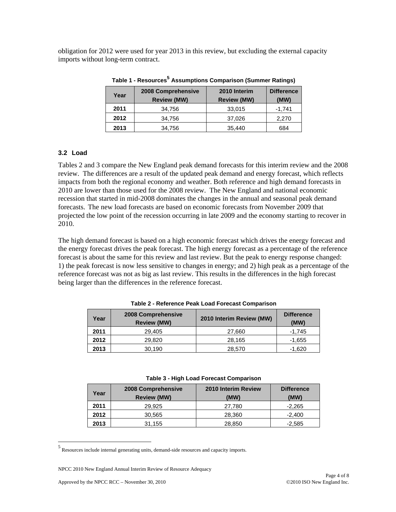obligation for 2012 were used for year 2013 in this review, but excluding the external capacity imports without long-term contract.

| Year | 2008 Comprehensive<br><b>Review (MW)</b> | 2010 Interim<br><b>Review (MW)</b> | <b>Difference</b><br>(MW) |
|------|------------------------------------------|------------------------------------|---------------------------|
| 2011 | 34.756                                   | 33,015                             | $-1,741$                  |
| 2012 | 34,756                                   | 37,026                             | 2,270                     |
| 2013 | 34,756                                   | 35,440                             | 684                       |

**Table 1 - Resources<sup>5</sup> Assumptions Comparison (Summer Ratings)** 

### **3.2 Load**

Tables 2 and 3 compare the New England peak demand forecasts for this interim review and the 2008 review. The differences are a result of the updated peak demand and energy forecast, which reflects impacts from both the regional economy and weather. Both reference and high demand forecasts in 2010 are lower than those used for the 2008 review. The New England and national economic recession that started in mid-2008 dominates the changes in the annual and seasonal peak demand forecasts. The new load forecasts are based on economic forecasts from November 2009 that projected the low point of the recession occurring in late 2009 and the economy starting to recover in 2010.

The high demand forecast is based on a high economic forecast which drives the energy forecast and the energy forecast drives the peak forecast. The high energy forecast as a percentage of the reference forecast is about the same for this review and last review. But the peak to energy response changed: 1) the peak forecast is now less sensitive to changes in energy; and 2) high peak as a percentage of the reference forecast was not as big as last review. This results in the differences in the high forecast being larger than the differences in the reference forecast.

| Year | 2008 Comprehensive<br><b>Review (MW)</b> | 2010 Interim Review (MW) | <b>Difference</b><br>(MW) |
|------|------------------------------------------|--------------------------|---------------------------|
| 2011 | 29,405                                   | 27,660                   | -1.745                    |
| 2012 | 29,820                                   | 28,165                   | $-1,655$                  |
| 2013 | 30,190                                   | 28,570                   | $-1,620$                  |

**Table 2 - Reference Peak Load Forecast Comparison** 

| Table 3 - High Load Forecast Comparison |  |  |
|-----------------------------------------|--|--|
|-----------------------------------------|--|--|

| Year | 2008 Comprehensive<br><b>Review (MW)</b> | 2010 Interim Review<br>(MW) | <b>Difference</b><br>(MW) |
|------|------------------------------------------|-----------------------------|---------------------------|
| 2011 | 29.925                                   | 27.780                      | $-2,265$                  |
| 2012 | 30,565                                   | 28,360                      | $-2,400$                  |
| 2013 | 31,155                                   | 28,850                      | $-2,585$                  |

<sup>&</sup>lt;sup>5</sup> Resources include internal generating units, demand-side resources and capacity imports.

l

NPCC 2010 New England Annual Interim Review of Resource Adequacy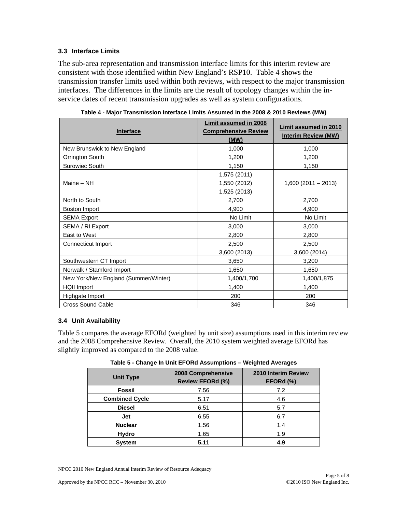# **3.3 Interface Limits**

The sub-area representation and transmission interface limits for this interim review are consistent with those identified within New England's RSP10. Table 4 shows the transmission transfer limits used within both reviews, with respect to the major transmission interfaces. The differences in the limits are the result of topology changes within the inservice dates of recent transmission upgrades as well as system configurations.

| <b>Interface</b>                     | <b>Limit assumed in 2008</b><br><b>Comprehensive Review</b><br>(MW) | <b>Limit assumed in 2010</b><br><b>Interim Review (MW)</b> |
|--------------------------------------|---------------------------------------------------------------------|------------------------------------------------------------|
| New Brunswick to New England         | 1,000                                                               | 1,000                                                      |
| Orrington South                      | 1,200                                                               | 1,200                                                      |
| Surowiec South                       | 1,150                                                               | 1,150                                                      |
| Maine - NH                           | 1,575 (2011)<br>1,550 (2012)<br>1,525 (2013)                        | $1,600(2011-2013)$                                         |
| North to South                       | 2,700                                                               | 2,700                                                      |
| Boston Import                        | 4,900                                                               | 4,900                                                      |
| <b>SEMA Export</b>                   | No Limit                                                            | No Limit                                                   |
| SEMA / RI Export                     | 3,000                                                               | 3,000                                                      |
| East to West                         | 2,800                                                               | 2,800                                                      |
| Connecticut Import                   | 2,500                                                               | 2,500                                                      |
|                                      | 3,600 (2013)                                                        | 3,600 (2014)                                               |
| Southwestern CT Import               | 3,650                                                               | 3,200                                                      |
| Norwalk / Stamford Import            | 1,650                                                               | 1,650                                                      |
| New York/New England (Summer/Winter) | 1,400/1,700                                                         | 1,400/1,875                                                |
| <b>HQII Import</b>                   | 1,400                                                               | 1,400                                                      |
| Highgate Import                      | 200                                                                 | 200                                                        |
| Cross Sound Cable                    | 346                                                                 | 346                                                        |

| Table 4 - Major Transmission Interface Limits Assumed in the 2008 & 2010 Reviews (MW) |  |
|---------------------------------------------------------------------------------------|--|

### **3.4 Unit Availability**

Table 5 compares the average EFORd (weighted by unit size) assumptions used in this interim review and the 2008 Comprehensive Review. Overall, the 2010 system weighted average EFORd has slightly improved as compared to the 2008 value.

| <b>Unit Type</b>      | 2008 Comprehensive<br>Review EFORd (%) | 2010 Interim Review<br>EFORd (%) |
|-----------------------|----------------------------------------|----------------------------------|
| Fossil                | 7.56                                   | 7.2                              |
| <b>Combined Cycle</b> | 5.17                                   | 4.6                              |
| <b>Diesel</b>         | 6.51                                   | 5.7                              |
| Jet                   | 6.55                                   | 6.7                              |
| <b>Nuclear</b>        | 1.56                                   | 1.4                              |
| Hydro                 | 1.65                                   | 1.9                              |
| <b>System</b>         | 5.11                                   | 4.9                              |

**Table 5 - Change In Unit EFORd Assumptions – Weighted Averages** 

NPCC 2010 New England Annual Interim Review of Resource Adequacy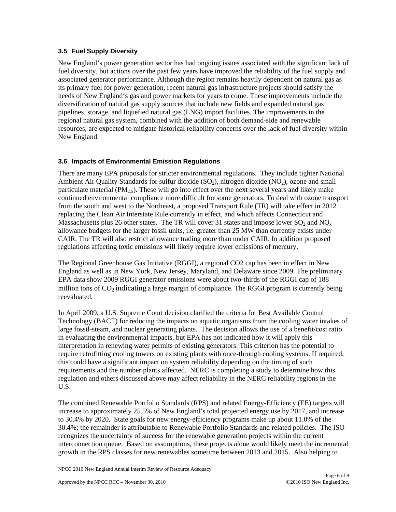### **3.5 Fuel Supply Diversity**

New England's power generation sector has had ongoing issues associated with the significant lack of fuel diversity, but actions over the past few years have improved the reliability of the fuel supply and associated generator performance. Although the region remains heavily dependent on natural gas as its primary fuel for power generation, recent natural gas infrastructure projects should satisfy the needs of New England's gas and power markets for years to come. These improvements include the diversification of natural gas supply sources that include new fields and expanded natural gas pipelines, storage, and liquefied natural gas (LNG) import facilities. The improvements in the regional natural gas system, combined with the addition of both demand-side and renewable resources, are expected to mitigate historical reliability concerns over the lack of fuel diversity within New England.

### **3.6 Impacts of Environmental Emission Regulations**

There are many EPA proposals for stricter environmental regulations. They include tighter National Ambient Air Quality Standards for sulfur dioxide  $(SO_2)$ , nitrogen dioxide  $(NO_2)$ , ozone and small particulate material ( $PM<sub>2.5</sub>$ ). These will go into effect over the next several years and likely make continued environmental compliance more difficult for some generators. To deal with ozone transport from the south and west to the Northeast, a proposed Transport Rule (TR) will take effect in 2012 replacing the Clean Air Interstate Rule currently in effect, and which affects Connecticut and Massachusetts plus 26 other states. The TR will cover 31 states and impose lower  $SO_2$  and  $NO_x$ allowance budgets for the larger fossil units, i.e. greater than 25 MW than currently exists under CAIR. The TR will also restrict allowance trading more than under CAIR. In addition proposed regulations affecting toxic emissions will likely require lower emissions of mercury.

The Regional Greenhouse Gas Initiative (RGGI), a regional CO2 cap has been in effect in New England as well as in New York, New Jersey, Maryland, and Delaware since 2009. The preliminary EPA data show 2009 RGGI generator emissions were about two-thirds of the RGGI cap of 188 million tons of  $CO<sub>2</sub>$  indicating a large margin of compliance. The RGGI program is currently being reevaluated.

In April 2009, a U.S. Supreme Court decision clarified the criteria for Best Available Control Technology (BACT) for reducing the impacts on aquatic organisms from the cooling water intakes of large fossil-steam, and nuclear generating plants. The decision allows the use of a benefit/cost ratio in evaluating the environmental impacts, but EPA has not indicated how it will apply this interpretation in renewing water permits of existing generators. This criterion has the potential to require retrofitting cooling towers on existing plants with once-through cooling systems. If required, this could have a significant impact on system reliability depending on the timing of such requirements and the number plants affected. NERC is completing a study to determine how this regulation and others discussed above may affect reliability in the NERC reliability regions in the U.S.

The combined Renewable Portfolio Standards (RPS) and related Energy-Efficiency (EE) targets will increase to approximately 25.5% of New England's total projected energy use by 2017, and increase to 30.4% by 2020. State goals for new energy-efficiency programs make up about 11.0% of the 30.4%; the remainder is attributable to Renewable Portfolio Standards and related policies. The ISO recognizes the uncertainty of success for the renewable generation projects within the current interconnection queue. Based on assumptions, these projects alone would likely meet the incremental growth in the RPS classes for new renewables sometime between 2013 and 2015. Also helping to

NPCC 2010 New England Annual Interim Review of Resource Adequacy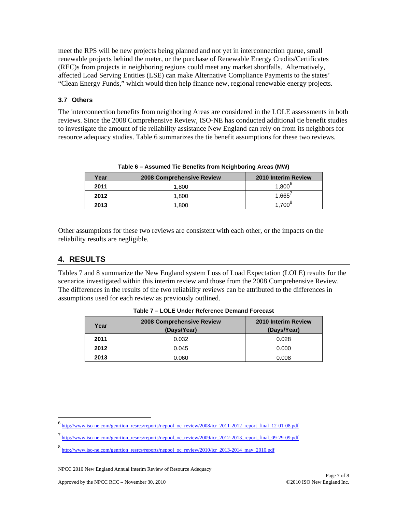meet the RPS will be new projects being planned and not yet in interconnection queue, small renewable projects behind the meter, or the purchase of Renewable Energy Credits/Certificates (REC)s from projects in neighboring regions could meet any market shortfalls. Alternatively, affected Load Serving Entities (LSE) can make Alternative Compliance Payments to the states' "Clean Energy Funds," which would then help finance new, regional renewable energy projects.

#### **3.7 Others**

The interconnection benefits from neighboring Areas are considered in the LOLE assessments in both reviews. Since the 2008 Comprehensive Review, ISO-NE has conducted additional tie benefit studies to investigate the amount of tie reliability assistance New England can rely on from its neighbors for resource adequacy studies. Table 6 summarizes the tie benefit assumptions for these two reviews.

|      | Table 6 – Assumed Tie Benefits from Neighbornig Areas (MW) |                     |
|------|------------------------------------------------------------|---------------------|
| Year | 2008 Comprehensive Review                                  | 2010 Interim Review |
| 2011 | 1.800                                                      | $1,800^{\circ}$     |
| 2012 | 1.800                                                      | 1.665'              |
| 2013 | 1,800                                                      | $1,700^\circ$       |

**Table 6 – Assumed Tie Benefits from Neighboring Areas (MW)** 

Other assumptions for these two reviews are consistent with each other, or the impacts on the reliability results are negligible.

# **4. RESULTS**

l

Tables 7 and 8 summarize the New England system Loss of Load Expectation (LOLE) results for the scenarios investigated within this interim review and those from the 2008 Comprehensive Review. The differences in the results of the two reliability reviews can be attributed to the differences in assumptions used for each review as previously outlined.

| Year | <b>2008 Comprehensive Review</b><br>(Days/Year) | 2010 Interim Review<br>(Days/Year) |
|------|-------------------------------------------------|------------------------------------|
| 2011 | 0.032                                           | 0.028                              |
| 2012 | 0.045                                           | 0.000                              |
| 2013 | 0.060                                           | 0.008                              |

**Table 7 – LOLE Under Reference Demand Forecast** 

<sup>6</sup> http://www.iso-ne.com/genrtion\_resrcs/reports/nepool\_oc\_review/2008/icr\_2011-2012\_report\_final\_12-01-08.pdf

<sup>7</sup> http://www.iso-ne.com/genrtion\_resrcs/reports/nepool\_oc\_review/2009/icr\_2012-2013\_report\_final\_09-29-09.pdf

<sup>8</sup> http://www.iso-ne.com/genrtion\_resrcs/reports/nepool\_oc\_review/2010/icr\_2013-2014\_may\_2010.pdf